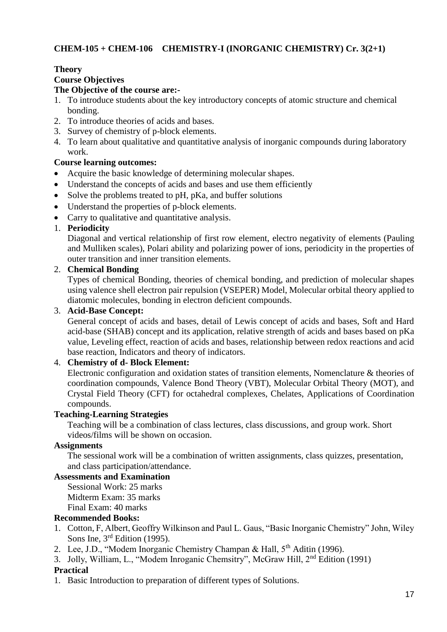# **CHEM-105 + CHEM-106 CHEMISTRY-I (INORGANIC CHEMISTRY) Cr. 3(2+1)**

#### **Theory Course Objectives The Objective of the course are:-**

- 1. To introduce students about the key introductory concepts of atomic structure and chemical bonding.
- 2. To introduce theories of acids and bases.
- 3. Survey of chemistry of p-block elements.
- 4. To learn about qualitative and quantitative analysis of inorganic compounds during laboratory work.

#### **Course learning outcomes:**

- Acquire the basic knowledge of determining molecular shapes.
- Understand the concepts of acids and bases and use them efficiently
- Solve the problems treated to pH, pKa, and buffer solutions
- Understand the properties of p-block elements.
- Carry to qualitative and quantitative analysis.

#### 1. **Periodicity**

Diagonal and vertical relationship of first row element, electro negativity of elements (Pauling and Mulliken scales), Polari ability and polarizing power of ions, periodicity in the properties of outer transition and inner transition elements.

#### 2. **Chemical Bonding**

Types of chemical Bonding, theories of chemical bonding, and prediction of molecular shapes using valence shell electron pair repulsion (VSEPER) Model, Molecular orbital theory applied to diatomic molecules, bonding in electron deficient compounds.

#### 3. **Acid-Base Concept:**

General concept of acids and bases, detail of Lewis concept of acids and bases, Soft and Hard acid-base (SHAB) concept and its application, relative strength of acids and bases based on pKa value, Leveling effect, reaction of acids and bases, relationship between redox reactions and acid base reaction, Indicators and theory of indicators.

#### 4. **Chemistry of d- Block Element:**

Electronic configuration and oxidation states of transition elements, Nomenclature & theories of coordination compounds, Valence Bond Theory (VBT), Molecular Orbital Theory (MOT), and Crystal Field Theory (CFT) for octahedral complexes, Chelates, Applications of Coordination compounds.

#### **Teaching-Learning Strategies**

Teaching will be a combination of class lectures, class discussions, and group work. Short videos/films will be shown on occasion.

#### **Assignments**

The sessional work will be a combination of written assignments, class quizzes, presentation, and class participation/attendance.

#### **Assessments and Examination**

Sessional Work: 25 marks Midterm Exam: 35 marks Final Exam: 40 marks

#### **Recommended Books:**

- 1. Cotton, F, Albert, Geoffry Wilkinson and Paul L. Gaus, "Basic Inorganic Chemistry" John, Wiley Sons Ine, 3<sup>rd</sup> Edition (1995).
- 2. Lee, J.D., "Modem Inorganic Chemistry Champan & Hall, 5<sup>th</sup> Aditin (1996).
- 3. Jolly, William, L., "Modem Inroganic Chemsitry", McGraw Hill, 2nd Edition (1991)

#### **Practical**

1. Basic Introduction to preparation of different types of Solutions.